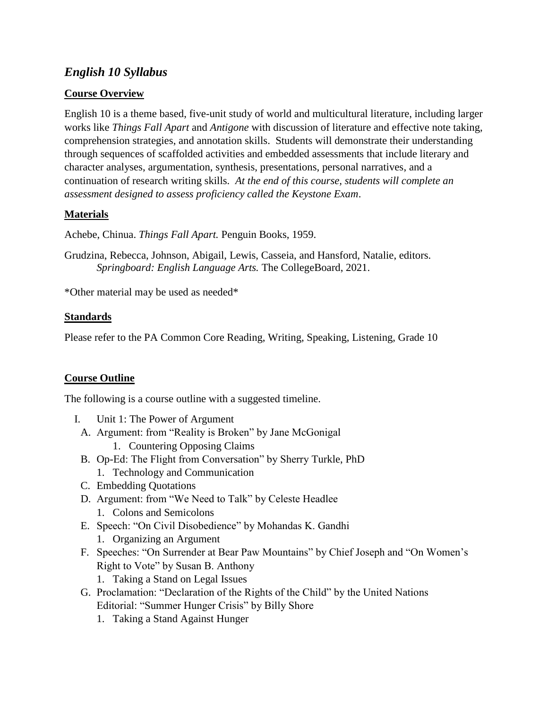# *English 10 Syllabus*

### **Course Overview**

English 10 is a theme based, five-unit study of world and multicultural literature, including larger works like *Things Fall Apart* and *Antigone* with discussion of literature and effective note taking, comprehension strategies, and annotation skills. Students will demonstrate their understanding through sequences of scaffolded activities and embedded assessments that include literary and character analyses, argumentation, synthesis, presentations, personal narratives, and a continuation of research writing skills*. At the end of this course, students will complete an assessment designed to assess proficiency called the Keystone Exam*.

## **Materials**

Achebe, Chinua. *Things Fall Apart.* Penguin Books, 1959.

Grudzina, Rebecca, Johnson, Abigail, Lewis, Casseia, and Hansford, Natalie, editors. *Springboard: English Language Arts.* The CollegeBoard, 2021.

\*Other material may be used as needed\*

#### **Standards**

Please refer to the PA Common Core Reading, Writing, Speaking, Listening, Grade 10

#### **Course Outline**

The following is a course outline with a suggested timeline.

- I. Unit 1: The Power of Argument
	- A. Argument: from "Reality is Broken" by Jane McGonigal
		- 1. Countering Opposing Claims
	- B. Op-Ed: The Flight from Conversation" by Sherry Turkle, PhD
		- 1. Technology and Communication
	- C. Embedding Quotations
	- D. Argument: from "We Need to Talk" by Celeste Headlee 1. Colons and Semicolons
	- E. Speech: "On Civil Disobedience" by Mohandas K. Gandhi
		- 1. Organizing an Argument
	- F. Speeches: "On Surrender at Bear Paw Mountains" by Chief Joseph and "On Women's Right to Vote" by Susan B. Anthony
		- 1. Taking a Stand on Legal Issues
	- G. Proclamation: "Declaration of the Rights of the Child" by the United Nations Editorial: "Summer Hunger Crisis" by Billy Shore
		- 1. Taking a Stand Against Hunger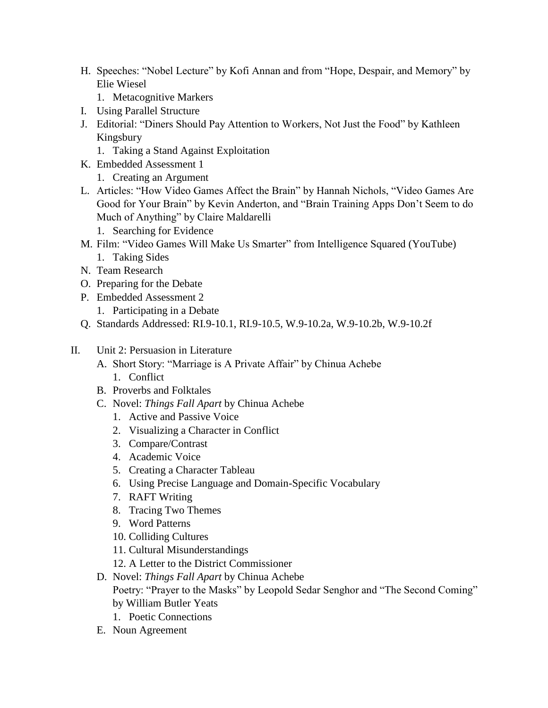- H. Speeches: "Nobel Lecture" by Kofi Annan and from "Hope, Despair, and Memory" by Elie Wiesel
	- 1. Metacognitive Markers
- I. Using Parallel Structure
- J. Editorial: "Diners Should Pay Attention to Workers, Not Just the Food" by Kathleen Kingsbury
	- 1. Taking a Stand Against Exploitation
- K. Embedded Assessment 1
	- 1. Creating an Argument
- L. Articles: "How Video Games Affect the Brain" by Hannah Nichols, "Video Games Are Good for Your Brain" by Kevin Anderton, and "Brain Training Apps Don't Seem to do Much of Anything" by Claire Maldarelli
	- 1. Searching for Evidence
- M. Film: "Video Games Will Make Us Smarter" from Intelligence Squared (YouTube)
	- 1. Taking Sides
- N. Team Research
- O. Preparing for the Debate
- P. Embedded Assessment 2
	- 1. Participating in a Debate
- Q. Standards Addressed: RI.9-10.1, RI.9-10.5, W.9-10.2a, W.9-10.2b, W.9-10.2f
- II. Unit 2: Persuasion in Literature
	- A. Short Story: "Marriage is A Private Affair" by Chinua Achebe
		- 1. Conflict
	- B. Proverbs and Folktales
	- C. Novel: *Things Fall Apart* by Chinua Achebe
		- 1. Active and Passive Voice
		- 2. Visualizing a Character in Conflict
		- 3. Compare/Contrast
		- 4. Academic Voice
		- 5. Creating a Character Tableau
		- 6. Using Precise Language and Domain-Specific Vocabulary
		- 7. RAFT Writing
		- 8. Tracing Two Themes
		- 9. Word Patterns
		- 10. Colliding Cultures
		- 11. Cultural Misunderstandings
		- 12. A Letter to the District Commissioner
	- D. Novel: *Things Fall Apart* by Chinua Achebe Poetry: "Prayer to the Masks" by Leopold Sedar Senghor and "The Second Coming" by William Butler Yeats
		- 1. Poetic Connections
	- E. Noun Agreement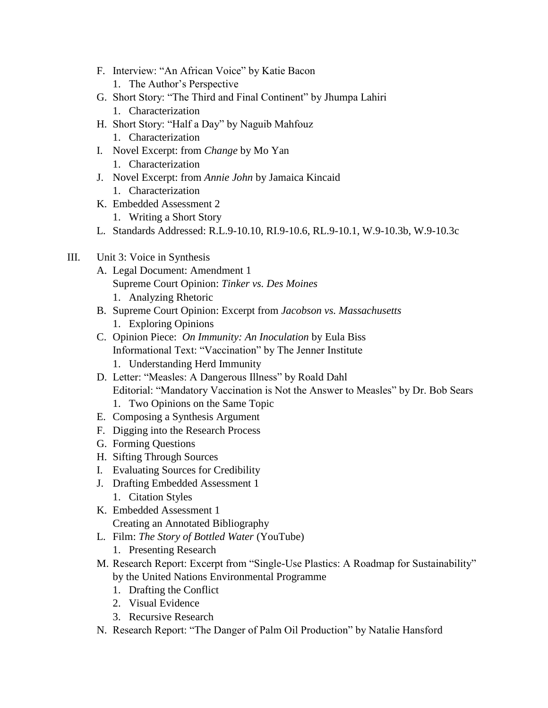- F. Interview: "An African Voice" by Katie Bacon
	- 1. The Author's Perspective
- G. Short Story: "The Third and Final Continent" by Jhumpa Lahiri
	- 1. Characterization
- H. Short Story: "Half a Day" by Naguib Mahfouz
	- 1. Characterization
- I. Novel Excerpt: from *Change* by Mo Yan
	- 1. Characterization
- J. Novel Excerpt: from *Annie John* by Jamaica Kincaid 1. Characterization
- K. Embedded Assessment 2
	- 1. Writing a Short Story
- L. Standards Addressed: R.L.9-10.10, RI.9-10.6, RL.9-10.1, W.9-10.3b, W.9-10.3c

## III. Unit 3: Voice in Synthesis

- A. Legal Document: Amendment 1 Supreme Court Opinion: *Tinker vs. Des Moines* 1. Analyzing Rhetoric
- B. Supreme Court Opinion: Excerpt from *Jacobson vs. Massachusetts*
	- 1. Exploring Opinions
- C. Opinion Piece: *On Immunity: An Inoculation* by Eula Biss
	- Informational Text: "Vaccination" by The Jenner Institute
	- 1. Understanding Herd Immunity
- D. Letter: "Measles: A Dangerous Illness" by Roald Dahl Editorial: "Mandatory Vaccination is Not the Answer to Measles" by Dr. Bob Sears
	- 1. Two Opinions on the Same Topic
- E. Composing a Synthesis Argument
- F. Digging into the Research Process
- G. Forming Questions
- H. Sifting Through Sources
- I. Evaluating Sources for Credibility
- J. Drafting Embedded Assessment 1
	- 1. Citation Styles
- K. Embedded Assessment 1 Creating an Annotated Bibliography
- L. Film: *The Story of Bottled Water* (YouTube)
	- 1. Presenting Research
- M. Research Report: Excerpt from "Single-Use Plastics: A Roadmap for Sustainability" by the United Nations Environmental Programme
	- 1. Drafting the Conflict
	- 2. Visual Evidence
	- 3. Recursive Research
- N. Research Report: "The Danger of Palm Oil Production" by Natalie Hansford